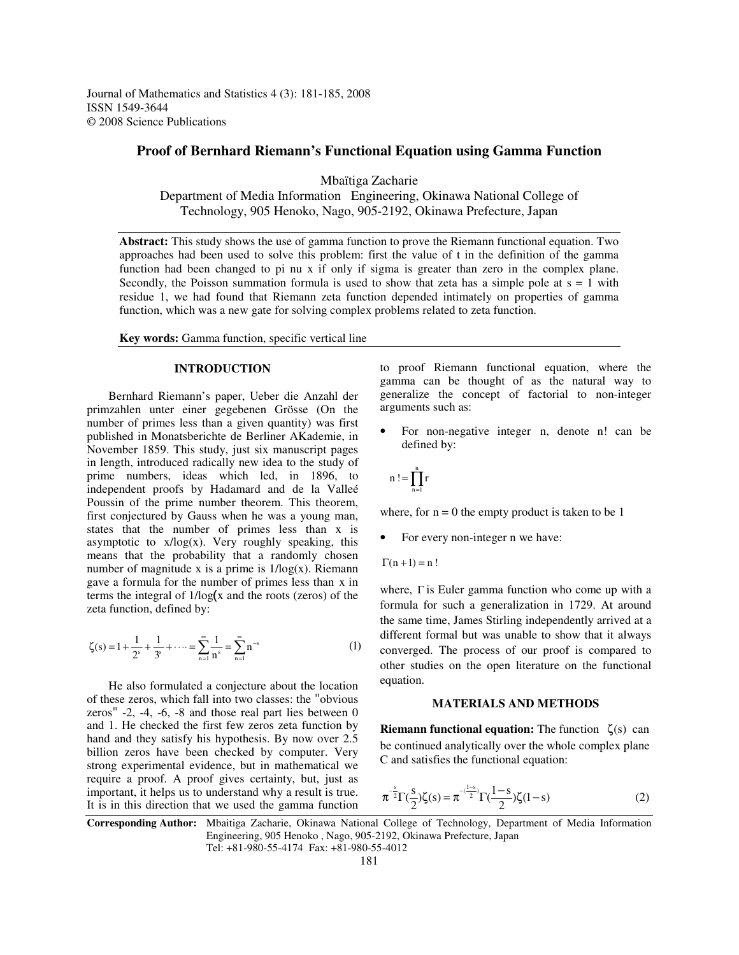Journal of Mathematics and Statistics 4 (3): 181-185, 2008 ISSN 1549-3644 © 2008 Science Publications

# **Proof of Bernhard Riemann's Functional Equation using Gamma Function**

Mbaïtiga Zacharie

Department of Media Information Engineering, Okinawa National College of Technology, 905 Henoko, Nago, 905-2192, Okinawa Prefecture, Japan

**Abstract:** This study shows the use of gamma function to prove the Riemann functional equation. Two approaches had been used to solve this problem: first the value of t in the definition of the gamma function had been changed to pi nu x if only if sigma is greater than zero in the complex plane. Secondly, the Poisson summation formula is used to show that zeta has a simple pole at  $s = 1$  with residue 1, we had found that Riemann zeta function depended intimately on properties of gamma function, which was a new gate for solving complex problems related to zeta function.

**Key words:** Gamma function, specific vertical line

## **INTRODUCTION**

Bernhard Riemann's paper, Ueber die Anzahl der primzahlen unter einer gegebenen Grösse (On the number of primes less than a given quantity) was first published in Monatsberichte de Berliner AKademie, in November 1859. This study, just six manuscript pages in length, introduced radically new idea to the study of prime numbers, ideas which led, in 1896, to independent proofs by Hadamard and de la Valleé Poussin of the prime number theorem. This theorem, first conjectured by Gauss when he was a young man, states that the number of primes less than x is asymptotic to  $x/log(x)$ . Very roughly speaking, this means that the probability that a randomly chosen number of magnitude x is a prime is  $1/\log(x)$ . Riemann gave a formula for the number of primes less than x in terms the integral of  $1/log(x)$  and the roots (zeros) of the zeta function, defined by:

$$
\zeta(s) = 1 + \frac{1}{2^s} + \frac{1}{3^s} + \dots = \sum_{n=1}^{\infty} \frac{1}{n^s} = \sum_{n=1}^{\infty} n^{-s}
$$
 (1)

He also formulated a conjecture about the location of these zeros, which fall into two classes: the "obvious" zeros"  $-2$ ,  $-4$ ,  $-6$ ,  $-8$  and those real part lies between 0 and 1. He checked the first few zeros zeta function by hand and they satisfy his hypothesis. By now over 2.5 billion zeros have been checked by computer. Very strong experimental evidence, but in mathematical we require a proof. A proof gives certainty, but, just as important, it helps us to understand why a result is true. It is in this direction that we used the gamma function

to proof Riemann functional equation, where the gamma can be thought of as the natural way to generalize the concept of factorial to non-integer arguments such as:

• For non-negative integer n, denote n! can be defined by:

$$
n\mathrel{!}=\prod_{n=1}^nr
$$

where, for  $n = 0$  the empty product is taken to be 1

- For every non-integer n we have:
- $\Gamma(n+1) = n!$

where, Γ is Euler gamma function who come up with a formula for such a generalization in 1729. At around the same time, James Stirling independently arrived at a different formal but was unable to show that it always converged. The process of our proof is compared to other studies on the open literature on the functional equation.

#### **MATERIALS AND METHODS**

**Riemann functional equation:** The function ζ(s) can be continued analytically over the whole complex plane C and satisfies the functional equation:

$$
\pi^{-\frac{s}{2}}\Gamma(\frac{s}{2})\zeta(s) = \pi^{-(\frac{1-s}{2})}\Gamma(\frac{1-s}{2})\zeta(1-s)
$$
 (2)

**Corresponding Author:** Mbaitiga Zacharie, Okinawa National College of Technology, Department of Media Information Engineering, 905 Henoko , Nago, 905-2192, Okinawa Prefecture, Japan Tel: +81-980-55-4174 Fax: +81-980-55-4012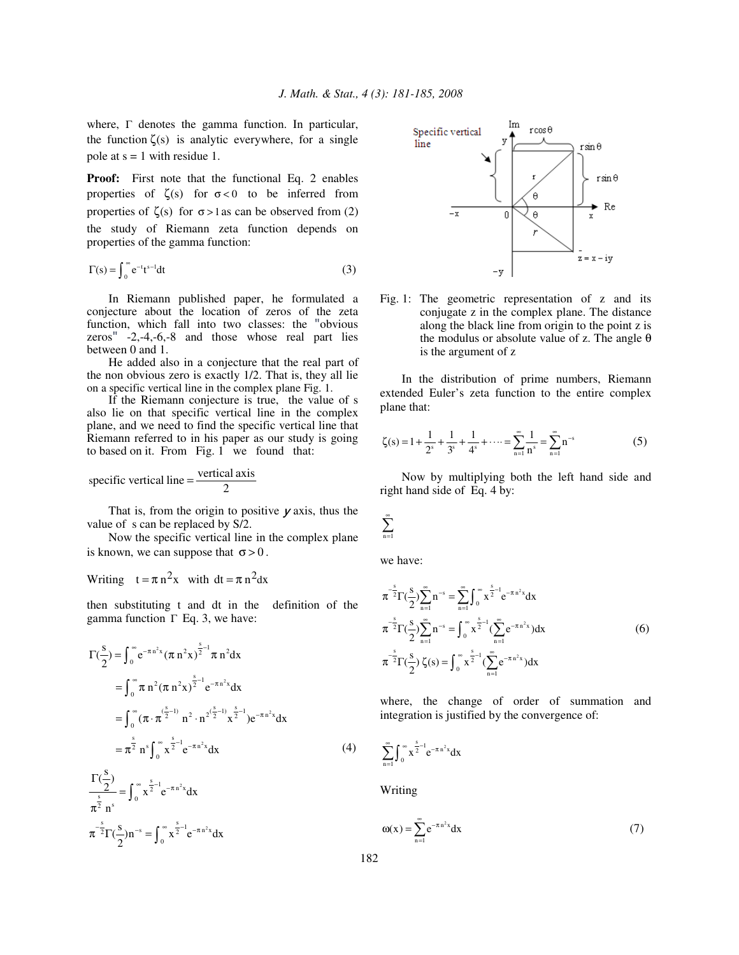where, Γ denotes the gamma function. In particular, the function  $\zeta(s)$  is analytic everywhere, for a single pole at  $s = 1$  with residue 1.

**Proof:** First note that the functional Eq. 2 enables properties of  $\zeta(s)$  for  $\sigma < 0$  to be inferred from properties of  $\zeta(s)$  for  $\sigma > 1$  as can be observed from (2) the study of Riemann zeta function depends on properties of the gamma function:

$$
\Gamma(s) = \int_0^\infty e^{-t} t^{s-1} dt
$$
 (3)

In Riemann published paper, he formulated a conjecture about the location of zeros of the zeta function, which fall into two classes: the "obvious zeros"  $-2,-4,-6,-8$  and those whose real part lies between 0 and 1.

He added also in a conjecture that the real part of the non obvious zero is exactly 1/2. That is, they all lie on a specific vertical line in the complex plane Fig. 1.

If the Riemann conjecture is true, the value of s also lie on that specific vertical line in the complex plane, and we need to find the specific vertical line that Riemann referred to in his paper as our study is going to based on it. From Fig. 1 we found that:

specific vertical line = 
$$
\frac{\text{vertical axis}}{2}
$$

That is, from the origin to positive  $\nu$  axis, thus the value of s can be replaced by S/2.

Now the specific vertical line in the complex plane is known, we can suppose that  $\sigma > 0$ .

Writing 
$$
t = \pi n^2 x
$$
 with  $dt = \pi n^2 dx$ 

then substituting t and dt in the definition of the gamma function  $Γ$  Eq. 3, we have:

$$
\Gamma(\frac{s}{2}) = \int_0^\infty e^{-\pi n^2 x} (\pi n^2 x)^{\frac{s}{2} - 1} \pi n^2 dx
$$
  
\n
$$
= \int_0^\infty \pi n^2 (\pi n^2 x)^{\frac{s}{2} - 1} e^{-\pi n^2 x} dx
$$
  
\n
$$
= \int_0^\infty (\pi \cdot \pi^{(\frac{s}{2} - 1)} n^2 \cdot n^{2(\frac{s}{2} - 1)} x^{\frac{s}{2} - 1}) e^{-\pi n^2 x} dx
$$
  
\n
$$
= \pi^{\frac{s}{2}} n^s \int_0^\infty x^{\frac{s}{2} - 1} e^{-\pi n^2 x} dx
$$
 (4)

$$
\frac{\Gamma(\frac{5}{2})}{\pi^{\frac{s}{2}}} = \int_0^\infty x^{\frac{s}{2}-1} e^{-\pi n^2 x} dx
$$
  

$$
\pi^{-\frac{s}{2}} \Gamma(\frac{s}{2}) n^{-s} = \int_0^\infty x^{\frac{s}{2}-1} e^{-\pi n^2 x} dx
$$



Fig. 1: The geometric representation of z and its conjugate z in the complex plane. The distance along the black line from origin to the point z is the modulus or absolute value of z. The angle  $\theta$ is the argument of z

In the distribution of prime numbers, Riemann extended Euler's zeta function to the entire complex plane that:

$$
\zeta(s) = 1 + \frac{1}{2^s} + \frac{1}{3^s} + \frac{1}{4^s} + \dots = \sum_{n=1}^{\infty} \frac{1}{n^s} = \sum_{n=1}^{\infty} n^{-s}
$$
(5)

Now by multiplying both the left hand side and right hand side of Eq. 4 by:

$$
\sum_{n=1}^\infty
$$

we have:

$$
\pi^{-\frac{s}{2}}\Gamma(\frac{s}{2})\sum_{n=1}^{\infty}n^{-s} = \sum_{n=1}^{\infty}\int_{0}^{\infty}x^{\frac{s}{2}-1}e^{-\pi n^{2}x}dx
$$

$$
\pi^{-\frac{s}{2}}\Gamma(\frac{s}{2})\sum_{n=1}^{\infty}n^{-s} = \int_{0}^{\infty}x^{\frac{s}{2}-1}(\sum_{n=1}^{\infty}e^{-\pi n^{2}x})dx
$$
(6)
$$
\pi^{-\frac{s}{2}}\Gamma(\frac{s}{2})\zeta(s) = \int_{0}^{\infty}x^{\frac{s}{2}-1}(\sum_{n=1}^{\infty}e^{-\pi n^{2}x})dx
$$

where, the change of order of summation and integration is justified by the convergence of:

$$
\sum_{n=1}^{\infty}\int_{0}^{\infty}x^{\frac{s}{2}-1}e^{-\pi n^2x}dx
$$

Writing

$$
\omega(x) = \sum_{n=1}^{\infty} e^{-\pi n^2 x} dx
$$
 (7)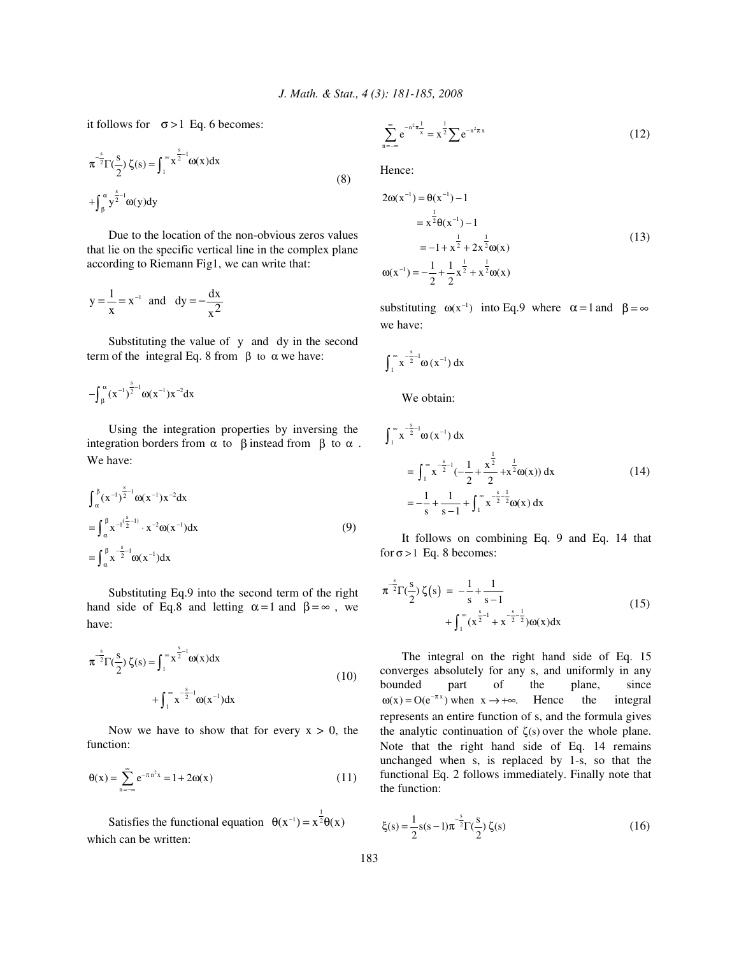it follows for  $\sigma > 1$  Eq. 6 becomes:

$$
\pi^{-\frac{s}{2}}\Gamma(\frac{s}{2})\zeta(s) = \int_1^\infty x^{\frac{s}{2}-1}\omega(x)dx
$$
  
+
$$
\int_\beta^\alpha y^{\frac{s}{2}-1}\omega(y)dy
$$
 (8)

Due to the location of the non-obvious zeros values that lie on the specific vertical line in the complex plane according to Riemann Fig1, we can write that:

$$
y = \frac{1}{x} = x^{-1}
$$
 and  $dy = -\frac{dx}{x^2}$ 

Substituting the value of y and dy in the second term of the integral Eq. 8 from  $β$  to  $α$  we have:

$$
-\!\!\int_{\beta}^{\alpha} (x^{-1})^{\frac{s}{2}-1} \omega(x^{-1}) x^{-2} dx
$$

Using the integration properties by inversing the integration borders from  $\alpha$  to  $\beta$  instead from  $\beta$  to  $\alpha$ . We have:

$$
\int_{\alpha}^{\beta} (x^{-1})^{\frac{s}{2}-1} \omega(x^{-1}) x^{-2} dx
$$
  
= 
$$
\int_{\alpha}^{\beta} x^{-1(\frac{s}{2}-1)} \cdot x^{-2} \omega(x^{-1}) dx
$$
  
= 
$$
\int_{\alpha}^{\beta} x^{-\frac{s}{2}-1} \omega(x^{-1}) dx
$$
 (9)

Substituting Eq.9 into the second term of the right hand side of Eq.8 and letting  $\alpha = 1$  and  $\beta = \infty$ , we have:

$$
\pi^{-\frac{s}{2}}\Gamma(\frac{s}{2})\zeta(s) = \int_{1}^{\infty} x^{\frac{s}{2}-1} \omega(x) dx
$$
  
+ 
$$
\int_{1}^{\infty} x^{\frac{s}{2}-1} \omega(x^{-1}) dx
$$
 (10)

Now we have to show that for every  $x > 0$ , the function:

$$
\theta(x) = \sum_{n = -\infty}^{\infty} e^{-\pi n^2 x} = 1 + 2\omega(x)
$$
 (11)

Satisfies the functional equation  $\theta(x^{-1}) = x^{\frac{1}{2}} \theta(x)$ which can be written:

$$
\sum_{n=-\infty}^{\infty} e^{-n^2 \pi \frac{1}{x}} = x^{\frac{1}{2}} \sum e^{-n^2 \pi x}
$$
 (12)

Hence:

$$
2\omega(x^{-1}) = \theta(x^{-1}) - 1
$$
  
=  $x^{\frac{1}{2}}\theta(x^{-1}) - 1$   
=  $-1 + x^{\frac{1}{2}} + 2x^{\frac{1}{2}}\omega(x)$   

$$
\omega(x^{-1}) = -\frac{1}{2} + \frac{1}{2}x^{\frac{1}{2}} + x^{\frac{1}{2}}\omega(x)
$$
 (13)

substituting  $\omega(x^{-1})$  into Eq.9 where  $\alpha = 1$  and  $\beta = \infty$ we have:

$$
\int_{1}^{\infty} x^{-\frac{s}{2}-1} \omega(x^{-1}) dx
$$

We obtain:

$$
\int_{1}^{\infty} x^{\frac{s}{2}-1} \omega(x^{-1}) dx
$$
  
= 
$$
\int_{1}^{\infty} x^{\frac{s}{2}-1} \left(-\frac{1}{2} + \frac{x^{\frac{1}{2}}}{2} + x^{\frac{1}{2}} \omega(x)\right) dx
$$
  
= 
$$
-\frac{1}{s} + \frac{1}{s-1} + \int_{1}^{\infty} x^{\frac{s}{2}-\frac{1}{2}} \omega(x) dx
$$
 (14)

It follows on combining Eq. 9 and Eq. 14 that for  $\sigma > 1$  Eq. 8 becomes:

$$
\pi^{-\frac{s}{2}}\Gamma(\frac{s}{2})\zeta(s) = -\frac{1}{s} + \frac{1}{s-1} + \int_{1}^{\infty} (x^{\frac{s}{2}-1} + x^{-\frac{s}{2}-\frac{1}{2}})\omega(x)dx
$$
\n(15)

The integral on the right hand side of Eq. 15 converges absolutely for any s, and uniformly in any bounded part of the plane, since  $\omega(x) = O(e^{-\pi x})$  when  $x \to +\infty$ . Hence the integral represents an entire function of s, and the formula gives the analytic continuation of  $\zeta(s)$  over the whole plane. Note that the right hand side of Eq. 14 remains unchanged when s, is replaced by 1-s, so that the functional Eq. 2 follows immediately. Finally note that the function:

$$
\xi(s) = \frac{1}{2}s(s-1)\pi^{-\frac{s}{2}}\Gamma(\frac{s}{2})\zeta(s)
$$
 (16)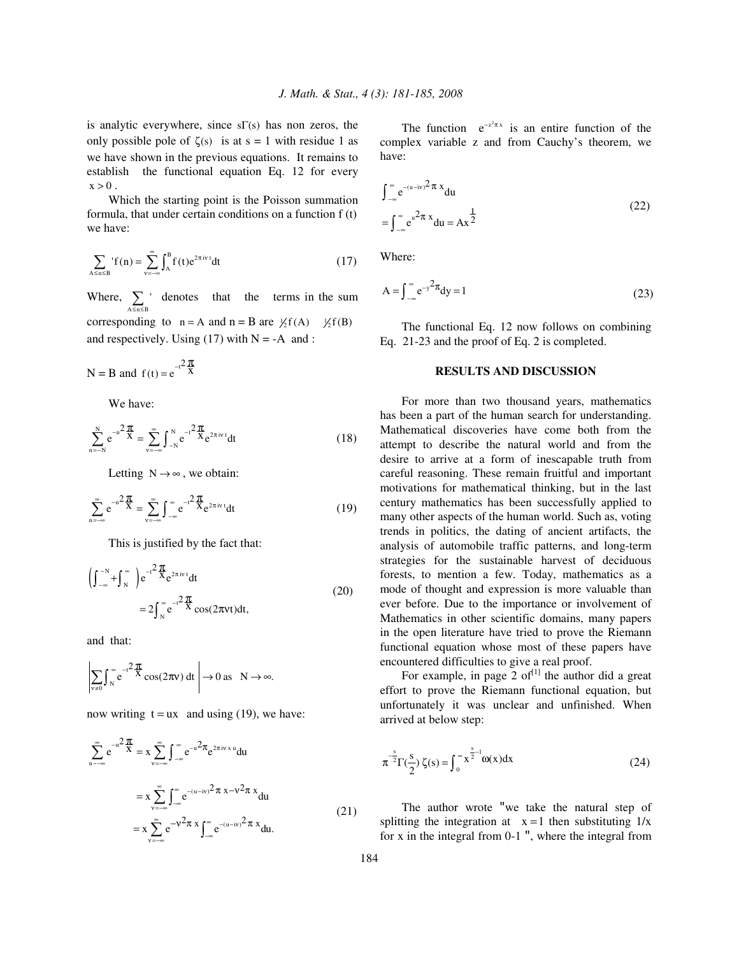is analytic everywhere, since sΓ(s) has non zeros, the only possible pole of  $\zeta(s)$  is at  $s = 1$  with residue 1 as we have shown in the previous equations. It remains to establish the functional equation Eq. 12 for every  $x > 0$ .

Which the starting point is the Poisson summation formula, that under certain conditions on a function f (t) we have:

$$
\sum_{A \le n \le B} f(n) = \sum_{v = -\infty}^{\infty} \int_{A}^{B} f(t) e^{2\pi iv \cdot t} dt
$$
 (17)

Where,  $\sum_{A \leq n \leq B}$  $\sum_{\text{SBSB}}$  denotes that the terms in the sum corresponding to  $n = A$  and  $n = B$  are  $\frac{1}{2}f(A)$   $\frac{1}{2}f(B)$ and respectively. Using  $(17)$  with N = -A and :

N = B and  $f(t) = e^{-t^2}$  $f(t) = e^{-t^2} \frac{dt}{X}$ π

We have:

$$
\sum_{n=-N}^{N} e^{-n^2} \frac{\pi}{x} = \sum_{v=-\infty}^{\infty} \int_{-N}^{N} e^{-t^2} \frac{\pi}{x} e^{2\pi i v} dt
$$
 (18)

Letting  $N \rightarrow \infty$ , we obtain:

$$
\sum_{n=-\infty}^{\infty} e^{-n^2 \frac{\pi}{X}} = \sum_{v=-\infty}^{\infty} \int_{-\infty}^{\infty} e^{-t^2 \frac{\pi}{X}} e^{2\pi i v t} dt
$$
 (19)

This is justified by the fact that:

$$
\left(\int_{-\infty}^{-N} + \int_{N}^{\infty}\right) e^{-t^2} \frac{\pi}{x} e^{2\pi i v t} dt
$$
  
= 
$$
2 \int_{N}^{\infty} e^{-t^2} \frac{\pi}{x} \cos(2\pi vt) dt,
$$
 (20)

and that:

$$
\left|\sum_{v\neq 0}\int_{N}^{\infty}e^{-t^{2}\frac{\pi}{X}}\cos(2\pi v)\,dt\,\right|\to 0\text{ as }\ N\to\infty.
$$

now writing  $t = ux$  and using (19), we have:

$$
\sum_{n=-\infty}^{\infty} e^{-n^2 \frac{\pi}{X}} = x \sum_{v=-\infty}^{\infty} \int_{-\infty}^{\infty} e^{-u^2 \pi} e^{2\pi i v \cdot x} du
$$
  

$$
= x \sum_{v=-\infty}^{\infty} \int_{-\infty}^{\infty} e^{-(u-iv)^2 \pi} x - v^2 \pi x du
$$
  

$$
= x \sum_{v=-\infty}^{\infty} e^{-v^2 \pi x} \int_{-\infty}^{\infty} e^{-(u-iv)^2 \pi} x du.
$$
 (21)

The function  $e^{-z^2 \pi x}$  is an entire function of the complex variable z and from Cauchy's theorem, we have:

$$
\int_{-\infty}^{\infty} e^{-(u-iv)^2 \pi x} du
$$
  
= 
$$
\int_{-\infty}^{\infty} e^{u^2 \pi x} du = Ax^{\frac{1}{2}}
$$
 (22)

Where:

$$
A = \int_{-\infty}^{\infty} e^{-y^2} dy = 1
$$
 (23)

The functional Eq. 12 now follows on combining Eq. 21-23 and the proof of Eq. 2 is completed.

## **RESULTS AND DISCUSSION**

For more than two thousand years, mathematics has been a part of the human search for understanding. Mathematical discoveries have come both from the attempt to describe the natural world and from the desire to arrive at a form of inescapable truth from careful reasoning. These remain fruitful and important motivations for mathematical thinking, but in the last century mathematics has been successfully applied to many other aspects of the human world. Such as, voting trends in politics, the dating of ancient artifacts, the analysis of automobile traffic patterns, and long-term strategies for the sustainable harvest of deciduous forests, to mention a few. Today, mathematics as a mode of thought and expression is more valuable than ever before. Due to the importance or involvement of Mathematics in other scientific domains, many papers in the open literature have tried to prove the Riemann functional equation whose most of these papers have encountered difficulties to give a real proof.

For example, in page 2 of $^{[1]}$  the author did a great effort to prove the Riemann functional equation, but unfortunately it was unclear and unfinished. When arrived at below step:

$$
\pi^{-\frac{s}{2}}\Gamma(\frac{s}{2})\zeta(s) = \int_0^\infty x^{\frac{s}{2}-1} \omega(x) dx
$$
 (24)

The author wrote "we take the natural step of splitting the integration at  $x = 1$  then substituting  $1/x$ for x in the integral from  $0-1$  ", where the integral from

 $\lambda$